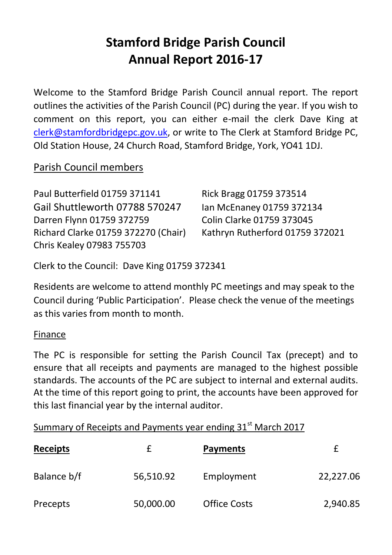# **Stamford Bridge Parish Council Annual Report 2016-17**

Welcome to the Stamford Bridge Parish Council annual report. The report outlines the activities of the Parish Council (PC) during the year. If you wish to comment on this report, you can either e-mail the clerk Dave King at [clerk@stamfordbridgepc.gov.uk,](mailto:clerk@stamfordbridgepc.gov.uk) or write to The Clerk at Stamford Bridge PC, Old Station House, 24 Church Road, Stamford Bridge, York, YO41 1DJ.

## Parish Council members

| Paul Butterfield 01759 371141       | Rick Bragg 01759 373514         |
|-------------------------------------|---------------------------------|
| Gail Shuttleworth 07788 570247      | Ian McEnaney 01759 372134       |
| Darren Flynn 01759 372759           | Colin Clarke 01759 373045       |
| Richard Clarke 01759 372270 (Chair) | Kathryn Rutherford 01759 372021 |
| Chris Kealey 07983 755703           |                                 |

Clerk to the Council: Dave King 01759 372341

Residents are welcome to attend monthly PC meetings and may speak to the Council during 'Public Participation'. Please check the venue of the meetings as this varies from month to month.

#### Finance

The PC is responsible for setting the Parish Council Tax (precept) and to ensure that all receipts and payments are managed to the highest possible standards. The accounts of the PC are subject to internal and external audits. At the time of this report going to print, the accounts have been approved for this last financial year by the internal auditor.

| Summary of Receipts and Payments year ending 31 <sup>st</sup> March 2017 |           |                     |           |  |
|--------------------------------------------------------------------------|-----------|---------------------|-----------|--|
| <b>Receipts</b>                                                          | f         | <b>Payments</b>     | £         |  |
| Balance b/f                                                              | 56,510.92 | Employment          | 22,227.06 |  |
| Precepts                                                                 | 50,000.00 | <b>Office Costs</b> | 2,940.85  |  |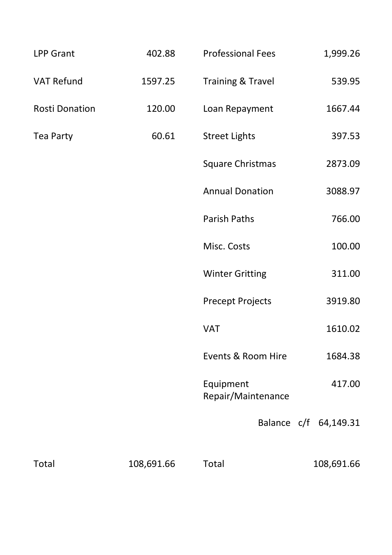| <b>LPP Grant</b> | 402.88     | <b>Professional Fees</b>        | 1,999.26              |
|------------------|------------|---------------------------------|-----------------------|
| VAT Refund       | 1597.25    | Training & Travel               | 539.95                |
| Rosti Donation   | 120.00     | Loan Repayment                  | 1667.44               |
| Tea Party        | 60.61      | <b>Street Lights</b>            | 397.53                |
|                  |            | Square Christmas                | 2873.09               |
|                  |            | <b>Annual Donation</b>          | 3088.97               |
|                  |            | <b>Parish Paths</b>             | 766.00                |
|                  |            | Misc. Costs                     | 100.00                |
|                  |            | <b>Winter Gritting</b>          | 311.00                |
|                  |            | <b>Precept Projects</b>         | 3919.80               |
|                  |            | VAT                             | 1610.02               |
|                  |            | Events & Room Hire              | 1684.38               |
|                  |            | Equipment<br>Repair/Maintenance | 417.00                |
|                  |            |                                 | Balance c/f 64,149.31 |
| Total            | 108,691.66 | Total                           | 108,691.66            |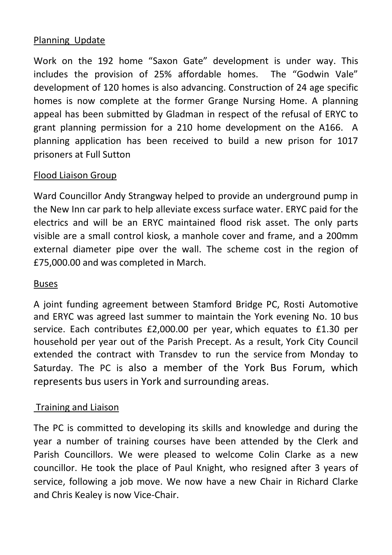#### Planning Update

Work on the 192 home "Saxon Gate" development is under way. This includes the provision of 25% affordable homes. The "Godwin Vale" development of 120 homes is also advancing. Construction of 24 age specific homes is now complete at the former Grange Nursing Home. A planning appeal has been submitted by Gladman in respect of the refusal of ERYC to grant planning permission for a 210 home development on the A166. A planning application has been received to build a new prison for 1017 prisoners at Full Sutton

#### Flood Liaison Group

Ward Councillor Andy Strangway helped to provide an underground pump in the New Inn car park to help alleviate excess surface water. ERYC paid for the electrics and will be an ERYC maintained flood risk asset. The only parts visible are a small control kiosk, a manhole cover and frame, and a 200mm external diameter pipe over the wall. The scheme cost in the region of £75,000.00 and was completed in March.

#### Buses

A joint funding agreement between Stamford Bridge PC, Rosti Automotive and ERYC was agreed last summer to maintain the York evening No. 10 bus service. Each contributes £2,000.00 per year, which equates to £1.30 per household per year out of the Parish Precept. As a result, York City Council extended the contract with Transdev to run the service from Monday to Saturday. The PC is also a member of the York Bus Forum, which represents bus users in York and surrounding areas.

#### Training and Liaison

The PC is committed to developing its skills and knowledge and during the year a number of training courses have been attended by the Clerk and Parish Councillors. We were pleased to welcome Colin Clarke as a new councillor. He took the place of Paul Knight, who resigned after 3 years of service, following a job move. We now have a new Chair in Richard Clarke and Chris Kealey is now Vice-Chair.